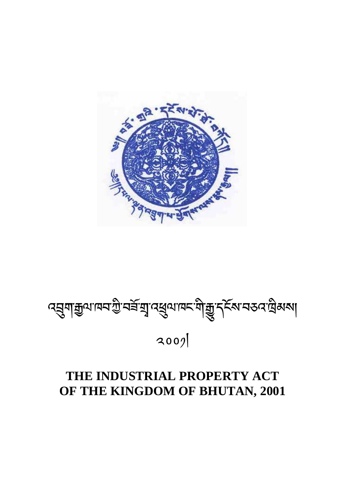# **THE INDUSTRIAL PROPERTY ACT OF THE KINGDOM OF BHUTAN, 2001**

 $3009$ 

ব্রুমাক্সুনের্জু বর্ষুমু বর্ষুমাদ্র শীক্সু বর্তুস্কর ব্রেন্সা

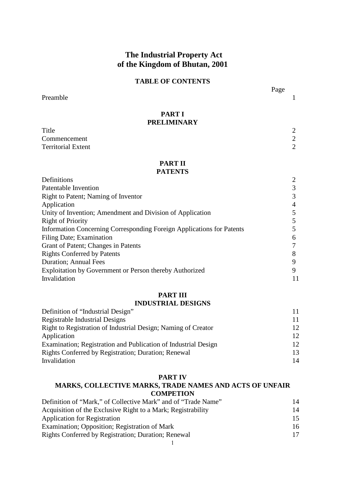# **The Industrial Property Act of the Kingdom of Bhutan, 2001**

# **TABLE OF CONTENTS**

Page **Page** Preamble 1

# **PART I PRELIMINARY**

Title 2 Commencement 2 Territorial Extent 2

# **PART II**

# **PATENTS**

| Definitions                                                           | ∍ |
|-----------------------------------------------------------------------|---|
| Patentable Invention                                                  |   |
| Right to Patent; Naming of Inventor                                   |   |
| Application                                                           | 4 |
| Unity of Invention; Amendment and Division of Application             |   |
| <b>Right of Priority</b>                                              |   |
| Information Concerning Corresponding Foreign Applications for Patents |   |
| Filing Date; Examination                                              | 6 |
| Grant of Patent; Changes in Patents                                   |   |
| <b>Rights Conferred by Patents</b>                                    | 8 |
| Duration; Annual Fees                                                 | Q |
| Exploitation by Government or Person thereby Authorized               | 9 |
| Invalidation                                                          |   |

#### **PART III**

# **INDUSTRIAL DESIGNS**

| Definition of "Industrial Design"                              |                 |
|----------------------------------------------------------------|-----------------|
| Registrable Industrial Designs                                 |                 |
| Right to Registration of Industrial Design; Naming of Creator  | 12 <sub>1</sub> |
| Application                                                    | 12 <sup>°</sup> |
| Examination; Registration and Publication of Industrial Design | 12 <sub>1</sub> |
| <b>Rights Conferred by Registration; Duration; Renewal</b>     | 13              |
| Invalidation                                                   | 14              |

#### **PART IV**

# **MARKS, COLLECTIVE MARKS, TRADE NAMES AND ACTS OF UNFAIR COMPETION**

| Definition of "Mark," of Collective Mark" and of "Trade Name" | 14 |
|---------------------------------------------------------------|----|
| Acquisition of the Exclusive Right to a Mark; Registrability  | 14 |
| <b>Application for Registration</b>                           | 15 |
| Examination; Opposition; Registration of Mark                 | 16 |
| Rights Conferred by Registration; Duration; Renewal           | 17 |
|                                                               |    |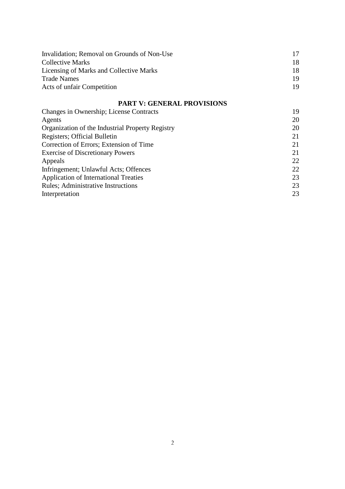| Invalidation; Removal on Grounds of Non-Use |     |
|---------------------------------------------|-----|
| Collective Marks                            | 18  |
| Licensing of Marks and Collective Marks     | 18  |
| <b>Trade Names</b>                          | 19. |
| Acts of unfair Competition                  | 19  |

# **PART V: GENERAL PROVISIONS**

| Changes in Ownership; License Contracts          | 19 |
|--------------------------------------------------|----|
| Agents                                           | 20 |
| Organization of the Industrial Property Registry | 20 |
| Registers; Official Bulletin                     | 21 |
| Correction of Errors; Extension of Time          | 21 |
| <b>Exercise of Discretionary Powers</b>          | 21 |
| Appeals                                          | 22 |
| Infringement; Unlawful Acts; Offences            | 22 |
| <b>Application of International Treaties</b>     | 23 |
| <b>Rules: Administrative Instructions</b>        | 23 |
| Interpretation                                   | 23 |
|                                                  |    |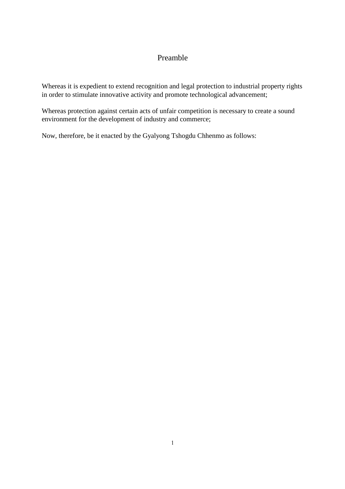# Preamble

Whereas it is expedient to extend recognition and legal protection to industrial property rights in order to stimulate innovative activity and promote technological advancement;

Whereas protection against certain acts of unfair competition is necessary to create a sound environment for the development of industry and commerce;

Now, therefore, be it enacted by the Gyalyong Tshogdu Chhenmo as follows: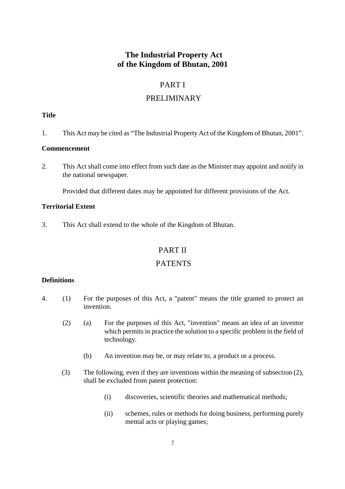# **The Industrial Property Act of the Kingdom of Bhutan, 2001**

# PART I

# PRELIMINARY

# **Title**

1. This Act may be cited as "The Industrial Property Act of the Kingdom of Bhutan, 2001".

# **Commencement**

2. This Act shall come into effect from such date as the Minister may appoint and notify in the national newspaper.

Provided that different dates may be appointed for different provisions of the Act.

# **Territorial Extent**

3. This Act shall extend to the whole of the Kingdom of Bhutan.

# PART II

# **PATENTS**

# **Definitions**

- 4. (1) For the purposes of this Act, a "patent" means the title granted to protect an invention.
	- (2) (a) For the purposes of this Act, "invention" means an idea of an inventor which permits in practice the solution to a specific problem in the field of technology.
		- (b) An invention may be, or may relate to, a product or a process.
	- (3) The following, even if they are inventions within the meaning of subsection (2), shall be excluded from patent protection:
		- (i) discoveries, scientific theories and mathematical methods;
		- (ii) schemes, rules or methods for doing business, performing purely mental acts or playing games;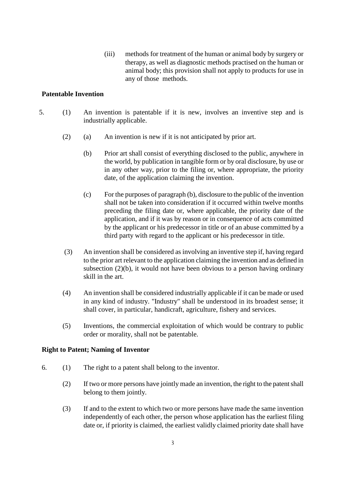(iii) methods for treatment of the human or animal body by surgery or therapy, as well as diagnostic methods practised on the human or animal body; this provision shall not apply to products for use in any of those methods.

# **Patentable Invention**

- 5. (1) An invention is patentable if it is new, involves an inventive step and is industrially applicable.
	- (2) (a) An invention is new if it is not anticipated by prior art.
		- (b) Prior art shall consist of everything disclosed to the public, anywhere in the world, by publication in tangible form or by oral disclosure, by use or in any other way, prior to the filing or, where appropriate, the priority date, of the application claiming the invention.
		- (c) For the purposes of paragraph (b), disclosure to the public of the invention shall not be taken into consideration if it occurred within twelve months preceding the filing date or, where applicable, the priority date of the application, and if it was by reason or in consequence of acts committed by the applicant or his predecessor in title or of an abuse committed by a third party with regard to the applicant or his predecessor in title.
	- (3) An invention shall be considered as involving an inventive step if, having regard to the prior art relevant to the application claiming the invention and as defined in subsection (2)(b), it would not have been obvious to a person having ordinary skill in the art.
	- (4) An invention shall be considered industrially applicable if it can be made or used in any kind of industry. "Industry" shall be understood in its broadest sense; it shall cover, in particular, handicraft, agriculture, fishery and services.
	- (5) Inventions, the commercial exploitation of which would be contrary to public order or morality, shall not be patentable.

# **Right to Patent; Naming of Inventor**

- 6. (1) The right to a patent shall belong to the inventor.
	- (2) If two or more persons have jointly made an invention, the right to the patent shall belong to them jointly.
	- (3) If and to the extent to which two or more persons have made the same invention independently of each other, the person whose application has the earliest filing date or, if priority is claimed, the earliest validly claimed priority date shall have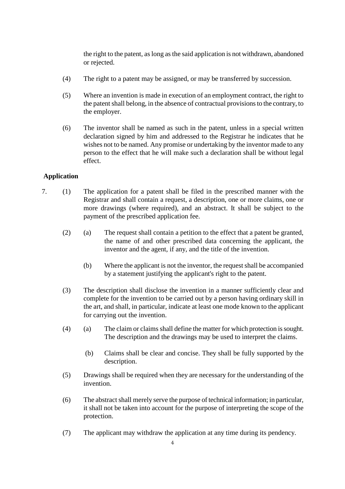the right to the patent, as long as the said application is not withdrawn, abandoned or rejected.

- (4) The right to a patent may be assigned, or may be transferred by succession.
- (5) Where an invention is made in execution of an employment contract, the right to the patent shall belong, in the absence of contractual provisions to the contrary, to the employer.
- (6) The inventor shall be named as such in the patent, unless in a special written declaration signed by him and addressed to the Registrar he indicates that he wishes not to be named. Any promise or undertaking by the inventor made to any person to the effect that he will make such a declaration shall be without legal effect.

# **Application**

- 7. (1) The application for a patent shall be filed in the prescribed manner with the Registrar and shall contain a request, a description, one or more claims, one or more drawings (where required), and an abstract. It shall be subject to the payment of the prescribed application fee.
	- (2) (a) The request shall contain a petition to the effect that a patent be granted, the name of and other prescribed data concerning the applicant, the inventor and the agent, if any, and the title of the invention.
		- (b) Where the applicant is not the inventor, the request shall be accompanied by a statement justifying the applicant's right to the patent.
	- (3) The description shall disclose the invention in a manner sufficiently clear and complete for the invention to be carried out by a person having ordinary skill in the art, and shall, in particular, indicate at least one mode known to the applicant for carrying out the invention.
	- (4) (a) The claim or claims shall define the matter for which protection is sought. The description and the drawings may be used to interpret the claims.
		- (b) Claims shall be clear and concise. They shall be fully supported by the description.
	- (5) Drawings shall be required when they are necessary for the understanding of the invention.
	- (6) The abstract shall merely serve the purpose of technical information; in particular, it shall not be taken into account for the purpose of interpreting the scope of the protection.
	- (7) The applicant may withdraw the application at any time during its pendency.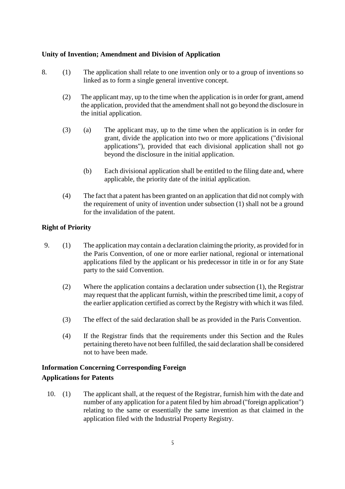# **Unity of Invention; Amendment and Division of Application**

- 8. (1) The application shall relate to one invention only or to a group of inventions so linked as to form a single general inventive concept.
	- (2) The applicant may, up to the time when the application is in order for grant, amend the application, provided that the amendment shall not go beyond the disclosure in the initial application.
	- (3) (a) The applicant may, up to the time when the application is in order for grant, divide the application into two or more applications ("divisional applications"), provided that each divisional application shall not go beyond the disclosure in the initial application.
		- (b) Each divisional application shall be entitled to the filing date and, where applicable, the priority date of the initial application.
	- (4) The fact that a patent has been granted on an application that did not comply with the requirement of unity of invention under subsection (1) shall not be a ground for the invalidation of the patent.

# **Right of Priority**

- 9. (1) The application may contain a declaration claiming the priority, as provided for in the Paris Convention, of one or more earlier national, regional or international applications filed by the applicant or his predecessor in title in or for any State party to the said Convention.
	- (2) Where the application contains a declaration under subsection (1), the Registrar may request that the applicant furnish, within the prescribed time limit, a copy of the earlier application certified as correct by the Registry with which it was filed.
	- (3) The effect of the said declaration shall be as provided in the Paris Convention.
	- (4) If the Registrar finds that the requirements under this Section and the Rules pertaining thereto have not been fulfilled, the said declaration shall be considered not to have been made.

# **Information Concerning Corresponding Foreign Applications for Patents**

10. (1) The applicant shall, at the request of the Registrar, furnish him with the date and number of any application for a patent filed by him abroad ("foreign application") relating to the same or essentially the same invention as that claimed in the application filed with the Industrial Property Registry.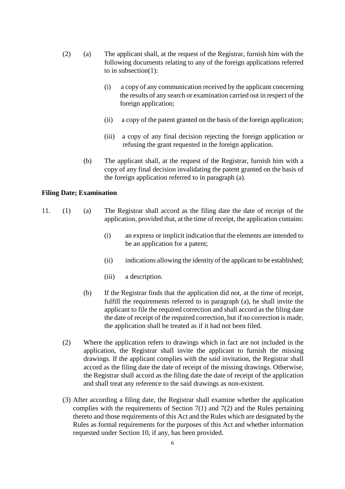- (2) (a) The applicant shall, at the request of the Registrar, furnish him with the following documents relating to any of the foreign applications referred to in subsection(1):
	- (i) a copy of any communication received by the applicant concerning the results of any search or examination carried out in respect of the foreign application;
	- (ii) a copy of the patent granted on the basis of the foreign application;
	- (iii) a copy of any final decision rejecting the foreign application or refusing the grant requested in the foreign application.
	- (b) The applicant shall, at the request of the Registrar, furnish him with a copy of any final decision invalidating the patent granted on the basis of the foreign application referred to in paragraph (a).

#### **Filing Date; Examination**

- 11. (1) (a) The Registrar shall accord as the filing date the date of receipt of the application, provided that, at the time of receipt, the application contains:
	- (i) an express or implicit indication that the elements are intended to be an application for a patent;
	- (ii) indications allowing the identity of the applicant to be established;
	- (iii) a description.
	- (b) If the Registrar finds that the application did not, at the time of receipt, fulfill the requirements referred to in paragraph (a), he shall invite the applicant to file the required correction and shall accord as the filing date the date of receipt of the required correction, but if no correction is made, the application shall be treated as if it had not been filed.
	- (2) Where the application refers to drawings which in fact are not included in the application, the Registrar shall invite the applicant to furnish the missing drawings. If the applicant complies with the said invitation, the Registrar shall accord as the filing date the date of receipt of the missing drawings. Otherwise, the Registrar shall accord as the filing date the date of receipt of the application and shall treat any reference to the said drawings as non-existent.
	- (3) After according a filing date, the Registrar shall examine whether the application complies with the requirements of Section 7(1) and 7(2) and the Rules pertaining thereto and those requirements of this Act and the Rules which are designated by the Rules as formal requirements for the purposes of this Act and whether information requested under Section 10, if any, has been provided.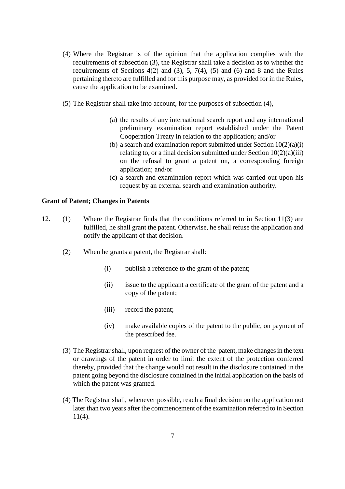- (4) Where the Registrar is of the opinion that the application complies with the requirements of subsection (3), the Registrar shall take a decision as to whether the requirements of Sections  $4(2)$  and  $(3)$ ,  $5$ ,  $7(4)$ ,  $(5)$  and  $(6)$  and 8 and the Rules pertaining thereto are fulfilled and for this purpose may, as provided for in the Rules, cause the application to be examined.
- (5) The Registrar shall take into account, for the purposes of subsection (4),
	- (a) the results of any international search report and any international preliminary examination report established under the Patent Cooperation Treaty in relation to the application; and/or
	- (b) a search and examination report submitted under Section  $10(2)(a)(i)$ relating to, or a final decision submitted under Section  $10(2)(a)(iii)$ on the refusal to grant a patent on, a corresponding foreign application; and/or
	- (c) a search and examination report which was carried out upon his request by an external search and examination authority.

# **Grant of Patent; Changes in Patents**

- 12. (1) Where the Registrar finds that the conditions referred to in Section 11(3) are fulfilled, he shall grant the patent. Otherwise, he shall refuse the application and notify the applicant of that decision.
	- (2) When he grants a patent, the Registrar shall:
		- (i) publish a reference to the grant of the patent;
		- (ii) issue to the applicant a certificate of the grant of the patent and a copy of the patent;
		- (iii) record the patent;
		- (iv) make available copies of the patent to the public, on payment of the prescribed fee.
	- (3) The Registrar shall, upon request of the owner of the patent, make changes in the text or drawings of the patent in order to limit the extent of the protection conferred thereby, provided that the change would not result in the disclosure contained in the patent going beyond the disclosure contained in the initial application on the basis of which the patent was granted.
	- (4) The Registrar shall, whenever possible, reach a final decision on the application not later than two years after the commencement of the examination referred to in Section  $11(4)$ .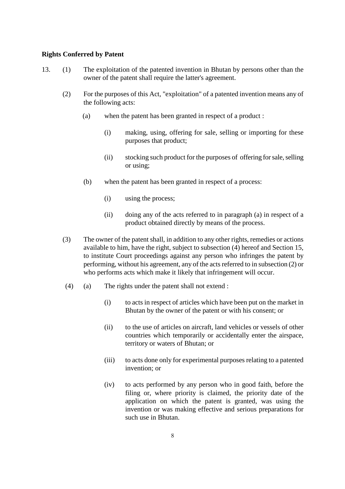### **Rights Conferred by Patent**

- 13. (1) The exploitation of the patented invention in Bhutan by persons other than the owner of the patent shall require the latter's agreement.
	- (2) For the purposes of this Act, "exploitation" of a patented invention means any of the following acts:
		- (a) when the patent has been granted in respect of a product :
			- (i) making, using, offering for sale, selling or importing for these purposes that product;
			- (ii) stocking such product for the purposes of offering for sale, selling or using;
		- (b) when the patent has been granted in respect of a process:
			- (i) using the process;
			- (ii) doing any of the acts referred to in paragraph (a) in respect of a product obtained directly by means of the process.
	- (3) The owner of the patent shall, in addition to any other rights, remedies or actions available to him, have the right, subject to subsection (4) hereof and Section 15, to institute Court proceedings against any person who infringes the patent by performing, without his agreement, any of the acts referred to in subsection (2) or who performs acts which make it likely that infringement will occur.
	- (4) (a) The rights under the patent shall not extend :
		- (i) to acts in respect of articles which have been put on the market in Bhutan by the owner of the patent or with his consent; or
		- (ii) to the use of articles on aircraft, land vehicles or vessels of other countries which temporarily or accidentally enter the airspace, territory or waters of Bhutan; or
		- (iii) to acts done only for experimental purposes relating to a patented invention; or
		- (iv) to acts performed by any person who in good faith, before the filing or, where priority is claimed, the priority date of the application on which the patent is granted, was using the invention or was making effective and serious preparations for such use in Bhutan.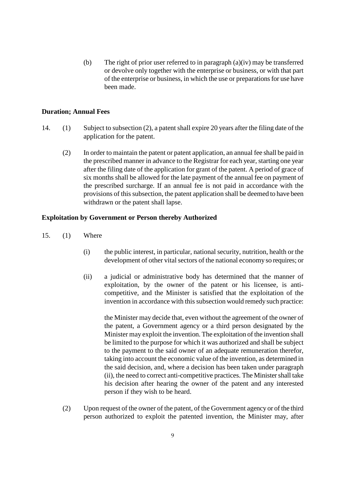(b) The right of prior user referred to in paragraph (a)(iv) may be transferred or devolve only together with the enterprise or business, or with that part of the enterprise or business, in which the use or preparations for use have been made.

#### **Duration; Annual Fees**

- 14. (1) Subject to subsection (2), a patent shall expire 20 years after the filing date of the application for the patent.
	- (2) In order to maintain the patent or patent application, an annual fee shall be paid in the prescribed manner in advance to the Registrar for each year, starting one year after the filing date of the application for grant of the patent. A period of grace of six months shall be allowed for the late payment of the annual fee on payment of the prescribed surcharge. If an annual fee is not paid in accordance with the provisions of this subsection, the patent application shall be deemed to have been withdrawn or the patent shall lapse.

#### **Exploitation by Government or Person thereby Authorized**

- 15. (1) Where
	- (i) the public interest, in particular, national security, nutrition, health or the development of other vital sectors of the national economy so requires; or
	- (ii) a judicial or administrative body has determined that the manner of exploitation, by the owner of the patent or his licensee, is anticompetitive, and the Minister is satisfied that the exploitation of the invention in accordance with this subsection would remedy such practice:

the Minister may decide that, even without the agreement of the owner of the patent, a Government agency or a third person designated by the Minister may exploit the invention. The exploitation of the invention shall be limited to the purpose for which it was authorized and shall be subject to the payment to the said owner of an adequate remuneration therefor, taking into account the economic value of the invention, as determined in the said decision, and, where a decision has been taken under paragraph (ii), the need to correct anti-competitive practices. The Minister shall take his decision after hearing the owner of the patent and any interested person if they wish to be heard.

(2) Upon request of the owner of the patent, of the Government agency or of the third person authorized to exploit the patented invention, the Minister may, after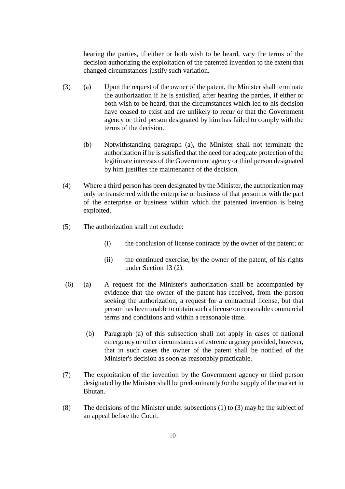hearing the parties, if either or both wish to be heard, vary the terms of the decision authorizing the exploitation of the patented invention to the extent that changed circumstances justify such variation.

- (3) (a) Upon the request of the owner of the patent, the Minister shall terminate the authorization if he is satisfied, after hearing the parties, if either or both wish to be heard, that the circumstances which led to his decision have ceased to exist and are unlikely to recur or that the Government agency or third person designated by him has failed to comply with the terms of the decision.
	- (b) Notwithstanding paragraph (a), the Minister shall not terminate the authorization if he is satisfied that the need for adequate protection of the legitimate interests of the Government agency or third person designated by him justifies the maintenance of the decision.
- (4) Where a third person has been designated by the Minister, the authorization may only be transferred with the enterprise or business of that person or with the part of the enterprise or business within which the patented invention is being exploited.
- (5) The authorization shall not exclude:
	- (i) the conclusion of license contracts by the owner of the patent; or
	- (ii) the continued exercise, by the owner of the patent, of his rights under Section 13 (2).
- (6) (a) A request for the Minister's authorization shall be accompanied by evidence that the owner of the patent has received, from the person seeking the authorization, a request for a contractual license, but that person has been unable to obtain such a license on reasonable commercial terms and conditions and within a reasonable time.
	- (b) Paragraph (a) of this subsection shall not apply in cases of national emergency or other circumstances of extreme urgency provided, however, that in such cases the owner of the patent shall be notified of the Minister's decision as soon as reasonably practicable.
- (7) The exploitation of the invention by the Government agency or third person designated by the Minister shall be predominantly for the supply of the market in Bhutan.
- (8) The decisions of the Minister under subsections (1) to (3) may be the subject of an appeal before the Court.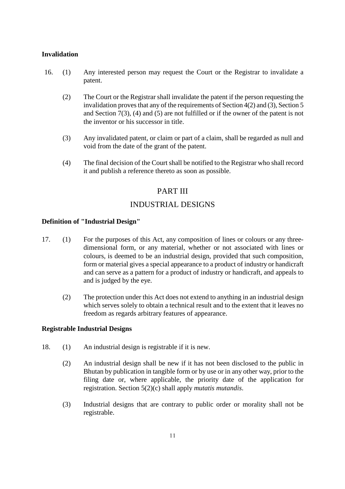### **Invalidation**

- 16. (1) Any interested person may request the Court or the Registrar to invalidate a patent.
	- (2) The Court or the Registrar shall invalidate the patent if the person requesting the invalidation proves that any of the requirements of Section 4(2) and (3), Section 5 and Section 7(3), (4) and (5) are not fulfilled or if the owner of the patent is not the inventor or his successor in title.
	- (3) Any invalidated patent, or claim or part of a claim, shall be regarded as null and void from the date of the grant of the patent.
	- (4) The final decision of the Court shall be notified to the Registrar who shall record it and publish a reference thereto as soon as possible.

# PART III

# INDUSTRIAL DESIGNS

#### **Definition of "Industrial Design"**

- 17. (1) For the purposes of this Act, any composition of lines or colours or any threedimensional form, or any material, whether or not associated with lines or colours, is deemed to be an industrial design, provided that such composition, form or material gives a special appearance to a product of industry or handicraft and can serve as a pattern for a product of industry or handicraft, and appeals to and is judged by the eye.
	- (2) The protection under this Act does not extend to anything in an industrial design which serves solely to obtain a technical result and to the extent that it leaves no freedom as regards arbitrary features of appearance.

# **Registrable Industrial Designs**

- 18. (1) An industrial design is registrable if it is new.
	- (2) An industrial design shall be new if it has not been disclosed to the public in Bhutan by publication in tangible form or by use or in any other way, prior to the filing date or, where applicable, the priority date of the application for registration. Section 5(2)(c) shall apply *mutatis mutandis*.
	- (3) Industrial designs that are contrary to public order or morality shall not be registrable.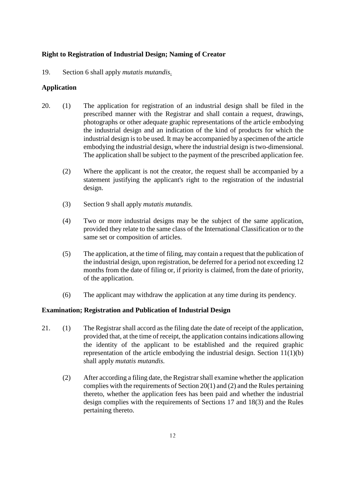# **Right to Registration of Industrial Design; Naming of Creator**

19. Section 6 shall apply *mutatis mutandis*.

# **Application**

- 20. (1) The application for registration of an industrial design shall be filed in the prescribed manner with the Registrar and shall contain a request, drawings, photographs or other adequate graphic representations of the article embodying the industrial design and an indication of the kind of products for which the industrial design is to be used. It may be accompanied by a specimen of the article embodying the industrial design, where the industrial design is two-dimensional. The application shall be subject to the payment of the prescribed application fee.
	- (2) Where the applicant is not the creator, the request shall be accompanied by a statement justifying the applicant's right to the registration of the industrial design.
	- (3) Section 9 shall apply *mutatis mutandis.*
	- (4) Two or more industrial designs may be the subject of the same application, provided they relate to the same class of the International Classification or to the same set or composition of articles.
	- (5) The application, at the time of filing, may contain a request that the publication of the industrial design, upon registration, be deferred for a period not exceeding 12 months from the date of filing or, if priority is claimed, from the date of priority, of the application.
	- (6) The applicant may withdraw the application at any time during its pendency.

# **Examination; Registration and Publication of Industrial Design**

- 21. (1) The Registrar shall accord as the filing date the date of receipt of the application, provided that, at the time of receipt, the application contains indications allowing the identity of the applicant to be established and the required graphic representation of the article embodying the industrial design. Section 11(1)(b) shall apply *mutatis mutandis.*
	- (2) After according a filing date, the Registrar shall examine whether the application complies with the requirements of Section 20(1) and (2) and the Rules pertaining thereto, whether the application fees has been paid and whether the industrial design complies with the requirements of Sections 17 and 18(3) and the Rules pertaining thereto.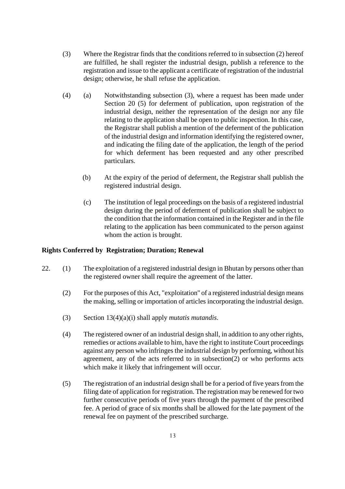- (3) Where the Registrar finds that the conditions referred to in subsection (2) hereof are fulfilled, he shall register the industrial design, publish a reference to the registration and issue to the applicant a certificate of registration of the industrial design; otherwise, he shall refuse the application.
- (4) (a) Notwithstanding subsection (3), where a request has been made under Section 20 (5) for deferment of publication, upon registration of the industrial design, neither the representation of the design nor any file relating to the application shall be open to public inspection. In this case, the Registrar shall publish a mention of the deferment of the publication of the industrial design and information identifying the registered owner, and indicating the filing date of the application, the length of the period for which deferment has been requested and any other prescribed particulars.
	- (b) At the expiry of the period of deferment, the Registrar shall publish the registered industrial design.
	- (c) The institution of legal proceedings on the basis of a registered industrial design during the period of deferment of publication shall be subject to the condition that the information contained in the Register and in the file relating to the application has been communicated to the person against whom the action is brought.

# **Rights Conferred by Registration; Duration; Renewal**

- 22. (1) The exploitation of a registered industrial design in Bhutan by persons other than the registered owner shall require the agreement of the latter.
	- (2) For the purposes of this Act, "exploitation" of a registered industrial design means the making, selling or importation of articles incorporating the industrial design.
	- (3) Section 13(4)(a)(i) shall apply *mutatis mutandis*.
	- (4) The registered owner of an industrial design shall, in addition to any other rights, remedies or actions available to him, have the right to institute Court proceedings against any person who infringes the industrial design by performing, without his agreement, any of the acts referred to in subsection(2) or who performs acts which make it likely that infringement will occur.
	- (5) The registration of an industrial design shall be for a period of five years from the filing date of application for registration. The registration may be renewed for two further consecutive periods of five years through the payment of the prescribed fee. A period of grace of six months shall be allowed for the late payment of the renewal fee on payment of the prescribed surcharge.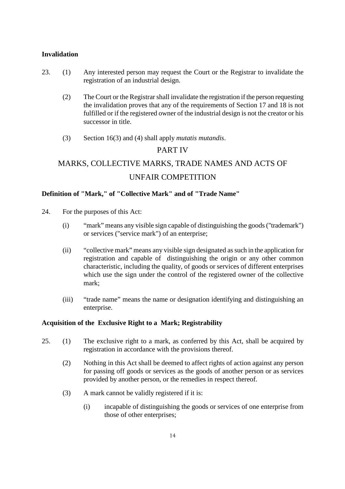#### **Invalidation**

- 23. (1) Any interested person may request the Court or the Registrar to invalidate the registration of an industrial design.
	- (2) The Court or the Registrar shall invalidate the registration if the person requesting the invalidation proves that any of the requirements of Section 17 and 18 is not fulfilled or if the registered owner of the industrial design is not the creator or his successor in title.
	- (3) Section 16(3) and (4) shall apply *mutatis mutandis*.

# PART IV

# MARKS, COLLECTIVE MARKS, TRADE NAMES AND ACTS OF UNFAIR COMPETITION

# **Definition of "Mark," of "Collective Mark" and of "Trade Name"**

- 24. For the purposes of this Act:
	- (i) "mark" means any visible sign capable of distinguishing the goods ("trademark") or services ("service mark") of an enterprise;
	- (ii) "collective mark" means any visible sign designated as such in the application for registration and capable of distinguishing the origin or any other common characteristic, including the quality, of goods or services of different enterprises which use the sign under the control of the registered owner of the collective mark;
	- (iii) "trade name" means the name or designation identifying and distinguishing an enterprise.

#### **Acquisition of the Exclusive Right to a Mark; Registrability**

- 25. (1) The exclusive right to a mark, as conferred by this Act, shall be acquired by registration in accordance with the provisions thereof.
	- (2) Nothing in this Act shall be deemed to affect rights of action against any person for passing off goods or services as the goods of another person or as services provided by another person, or the remedies in respect thereof.
	- (3) A mark cannot be validly registered if it is:
		- (i) incapable of distinguishing the goods or services of one enterprise from those of other enterprises;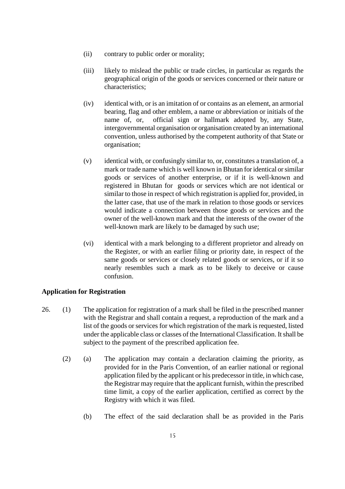- (ii) contrary to public order or morality;
- (iii) likely to mislead the public or trade circles, in particular as regards the geographical origin of the goods or services concerned or their nature or characteristics;
- (iv) identical with, or is an imitation of or contains as an element, an armorial bearing, flag and other emblem, a name or abbreviation or initials of the name of, or, official sign or hallmark adopted by, any State, intergovernmental organisation or organisation created by an international convention, unless authorised by the competent authority of that State or organisation;
- (v) identical with, or confusingly similar to, or, constitutes a translation of, a mark or trade name which is well known in Bhutan for identical or similar goods or services of another enterprise, or if it is well-known and registered in Bhutan for goods or services which are not identical or similar to those in respect of which registration is applied for, provided, in the latter case, that use of the mark in relation to those goods or services would indicate a connection between those goods or services and the owner of the well-known mark and that the interests of the owner of the well-known mark are likely to be damaged by such use;
- (vi) identical with a mark belonging to a different proprietor and already on the Register, or with an earlier filing or priority date, in respect of the same goods or services or closely related goods or services, or if it so nearly resembles such a mark as to be likely to deceive or cause confusion.

# **Application for Registration**

- 26. (1) The application for registration of a mark shall be filed in the prescribed manner with the Registrar and shall contain a request, a reproduction of the mark and a list of the goods or services for which registration of the mark is requested, listed under the applicable class or classes of the International Classification. It shall be subject to the payment of the prescribed application fee.
	- (2) (a) The application may contain a declaration claiming the priority, as provided for in the Paris Convention, of an earlier national or regional application filed by the applicant or his predecessor in title, in which case, the Registrar may require that the applicant furnish, within the prescribed time limit, a copy of the earlier application, certified as correct by the Registry with which it was filed.
		- (b) The effect of the said declaration shall be as provided in the Paris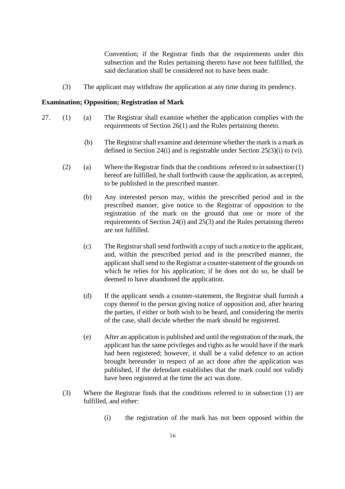Convention; if the Registrar finds that the requirements under this subsection and the Rules pertaining thereto have not been fulfilled, the said declaration shall be considered not to have been made.

(3) The applicant may withdraw the application at any time during its pendency.

#### **Examination; Opposition; Registration of Mark**

- 27. (1) (a) The Registrar shall examine whether the application complies with the requirements of Section 26(1) and the Rules pertaining thereto.
	- (b) The Registrar shall examine and determine whether the mark is a mark as defined in Section 24(i) and is registrable under Section 25(3)(i) to (vi).
	- (2) (a) Where the Registrar finds that the conditions referred to in subsection (1) hereof are fulfilled, he shall forthwith cause the application, as accepted, to be published in the prescribed manner.
		- (b) Any interested person may, within the prescribed period and in the prescribed manner, give notice to the Registrar of opposition to the registration of the mark on the ground that one or more of the requirements of Section 24(i) and 25(3) and the Rules pertaining thereto are not fulfilled.
		- (c) The Registrar shall send forthwith a copy of such a notice to the applicant, and, within the prescribed period and in the prescribed manner, the applicant shall send to the Registrar a counter-statement of the grounds on which he relies for his application; if he does not do so, he shall be deemed to have abandoned the application.
		- (d) If the applicant sends a counter-statement, the Registrar shall furnish a copy thereof to the person giving notice of opposition and, after hearing the parties, if either or both wish to be heard, and considering the merits of the case, shall decide whether the mark should be registered.
		- (e) After an application is published and until the registration of the mark, the applicant has the same privileges and rights as he would have if the mark had been registered; however, it shall be a valid defence to an action brought hereunder in respect of an act done after the application was published, if the defendant establishes that the mark could not validly have been registered at the time the act was done.
	- (3) Where the Registrar finds that the conditions referred to in subsection (1) are fulfilled, and either:
		- (i) the registration of the mark has not been opposed within the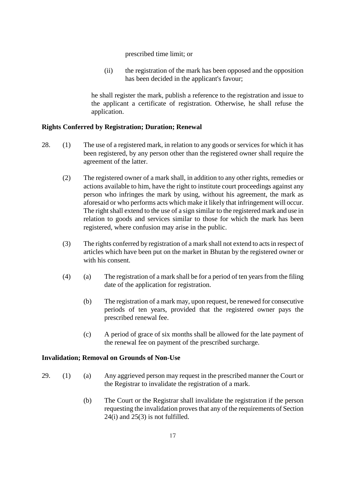prescribed time limit; or

(ii) the registration of the mark has been opposed and the opposition has been decided in the applicant's favour;

he shall register the mark, publish a reference to the registration and issue to the applicant a certificate of registration. Otherwise, he shall refuse the application.

# **Rights Conferred by Registration; Duration; Renewal**

- 28. (1) The use of a registered mark, in relation to any goods or services for which it has been registered, by any person other than the registered owner shall require the agreement of the latter.
	- (2) The registered owner of a mark shall, in addition to any other rights, remedies or actions available to him, have the right to institute court proceedings against any person who infringes the mark by using, without his agreement, the mark as aforesaid or who performs acts which make it likely that infringement will occur. The right shall extend to the use of a sign similar to the registered mark and use in relation to goods and services similar to those for which the mark has been registered, where confusion may arise in the public.
	- (3) The rights conferred by registration of a mark shall not extend to acts in respect of articles which have been put on the market in Bhutan by the registered owner or with his consent.
	- (4) (a) The registration of a mark shall be for a period of ten years from the filing date of the application for registration.
		- (b) The registration of a mark may, upon request, be renewed for consecutive periods of ten years, provided that the registered owner pays the prescribed renewal fee.
		- (c) A period of grace of six months shall be allowed for the late payment of the renewal fee on payment of the prescribed surcharge.

# **Invalidation; Removal on Grounds of Non-Use**

- 29. (1) (a) Any aggrieved person may request in the prescribed manner the Court or the Registrar to invalidate the registration of a mark.
	- (b) The Court or the Registrar shall invalidate the registration if the person requesting the invalidation proves that any of the requirements of Section 24(i) and 25(3) is not fulfilled.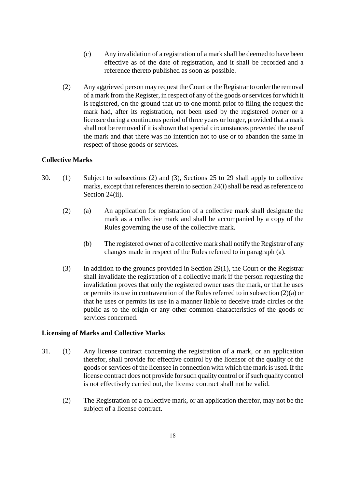- (c) Any invalidation of a registration of a mark shall be deemed to have been effective as of the date of registration, and it shall be recorded and a reference thereto published as soon as possible.
- (2) Any aggrieved person may request the Court or the Registrar to order the removal of a mark from the Register, in respect of any of the goods or services for which it is registered, on the ground that up to one month prior to filing the request the mark had, after its registration, not been used by the registered owner or a licensee during a continuous period of three years or longer, provided that a mark shall not be removed if it is shown that special circumstances prevented the use of the mark and that there was no intention not to use or to abandon the same in respect of those goods or services.

# **Collective Marks**

- 30. (1) Subject to subsections (2) and (3), Sections 25 to 29 shall apply to collective marks, except that references therein to section 24(i) shall be read as reference to Section 24(ii).
	- (2) (a) An application for registration of a collective mark shall designate the mark as a collective mark and shall be accompanied by a copy of the Rules governing the use of the collective mark.
		- (b) The registered owner of a collective mark shall notify the Registrar of any changes made in respect of the Rules referred to in paragraph (a).
	- $(3)$  In addition to the grounds provided in Section 29(1), the Court or the Registrar shall invalidate the registration of a collective mark if the person requesting the invalidation proves that only the registered owner uses the mark, or that he uses or permits its use in contravention of the Rules referred to in subsection (2)(a) or that he uses or permits its use in a manner liable to deceive trade circles or the public as to the origin or any other common characteristics of the goods or services concerned.

# **Licensing of Marks and Collective Marks**

- 31. (1) Any license contract concerning the registration of a mark, or an application therefor, shall provide for effective control by the licensor of the quality of the goods or services of the licensee in connection with which the mark is used. If the license contract does not provide for such quality control or if such quality control is not effectively carried out, the license contract shall not be valid.
	- (2) The Registration of a collective mark, or an application therefor, may not be the subject of a license contract.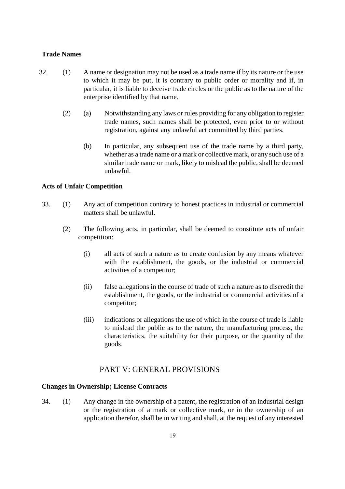#### **Trade Names**

- 32. (1) A name or designation may not be used as a trade name if by its nature or the use to which it may be put, it is contrary to public order or morality and if, in particular, it is liable to deceive trade circles or the public as to the nature of the enterprise identified by that name.
	- (2) (a) Notwithstanding any laws or rules providing for any obligation to register trade names, such names shall be protected, even prior to or without registration, against any unlawful act committed by third parties.
		- (b) In particular, any subsequent use of the trade name by a third party, whether as a trade name or a mark or collective mark, or any such use of a similar trade name or mark, likely to mislead the public, shall be deemed unlawful.

#### **Acts of Unfair Competition**

- 33. (1) Any act of competition contrary to honest practices in industrial or commercial matters shall be unlawful.
	- (2) The following acts, in particular, shall be deemed to constitute acts of unfair competition:
		- (i) all acts of such a nature as to create confusion by any means whatever with the establishment, the goods, or the industrial or commercial activities of a competitor;
		- (ii) false allegations in the course of trade of such a nature as to discredit the establishment, the goods, or the industrial or commercial activities of a competitor;
		- (iii) indications or allegations the use of which in the course of trade is liable to mislead the public as to the nature, the manufacturing process, the characteristics, the suitability for their purpose, or the quantity of the goods.

# PART V: GENERAL PROVISIONS

#### **Changes in Ownership; License Contracts**

34. (1) Any change in the ownership of a patent, the registration of an industrial design or the registration of a mark or collective mark, or in the ownership of an application therefor, shall be in writing and shall, at the request of any interested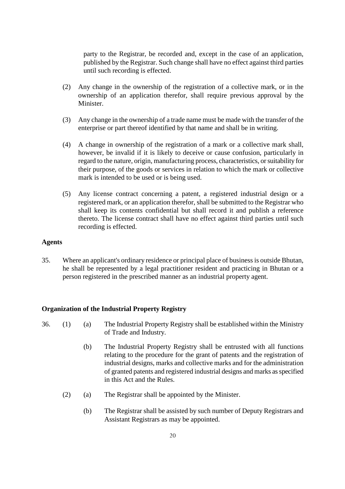party to the Registrar, be recorded and, except in the case of an application, published by the Registrar. Such change shall have no effect against third parties until such recording is effected.

- (2) Any change in the ownership of the registration of a collective mark, or in the ownership of an application therefor, shall require previous approval by the Minister.
- (3) Any change in the ownership of a trade name must be made with the transfer of the enterprise or part thereof identified by that name and shall be in writing.
- (4) A change in ownership of the registration of a mark or a collective mark shall, however, be invalid if it is likely to deceive or cause confusion, particularly in regard to the nature, origin, manufacturing process, characteristics, or suitability for their purpose, of the goods or services in relation to which the mark or collective mark is intended to be used or is being used.
- (5) Any license contract concerning a patent, a registered industrial design or a registered mark, or an application therefor, shall be submitted to the Registrar who shall keep its contents confidential but shall record it and publish a reference thereto. The license contract shall have no effect against third parties until such recording is effected.

### **Agents**

35. Where an applicant's ordinary residence or principal place of business is outside Bhutan, he shall be represented by a legal practitioner resident and practicing in Bhutan or a person registered in the prescribed manner as an industrial property agent.

#### **Organization of the Industrial Property Registry**

- 36. (1) (a) The Industrial Property Registry shall be established within the Ministry of Trade and Industry.
	- (b) The Industrial Property Registry shall be entrusted with all functions relating to the procedure for the grant of patents and the registration of industrial designs, marks and collective marks and for the administration of granted patents and registered industrial designs and marks as specified in this Act and the Rules.
	- (2) (a) The Registrar shall be appointed by the Minister.
		- (b) The Registrar shall be assisted by such number of Deputy Registrars and Assistant Registrars as may be appointed.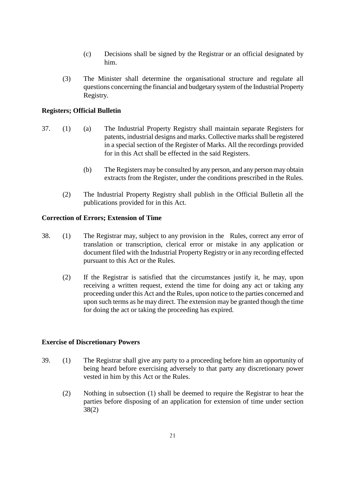- (c) Decisions shall be signed by the Registrar or an official designated by him.
- (3) The Minister shall determine the organisational structure and regulate all questions concerning the financial and budgetary system of the Industrial Property Registry.

# **Registers; Official Bulletin**

- 37. (1) (a) The Industrial Property Registry shall maintain separate Registers for patents, industrial designs and marks. Collective marks shall be registered in a special section of the Register of Marks. All the recordings provided for in this Act shall be effected in the said Registers.
	- (b) The Registers may be consulted by any person, and any person may obtain extracts from the Register, under the conditions prescribed in the Rules.
	- (2) The Industrial Property Registry shall publish in the Official Bulletin all the publications provided for in this Act.

# **Correction of Errors; Extension of Time**

- 38. (1) The Registrar may, subject to any provision in the Rules, correct any error of translation or transcription, clerical error or mistake in any application or document filed with the Industrial Property Registry or in any recording effected pursuant to this Act or the Rules.
	- (2) If the Registrar is satisfied that the circumstances justify it, he may, upon receiving a written request, extend the time for doing any act or taking any proceeding under this Act and the Rules, upon notice to the parties concerned and upon such terms as he may direct. The extension may be granted though the time for doing the act or taking the proceeding has expired.

# **Exercise of Discretionary Powers**

- 39. (1) The Registrar shall give any party to a proceeding before him an opportunity of being heard before exercising adversely to that party any discretionary power vested in him by this Act or the Rules.
	- (2) Nothing in subsection (1) shall be deemed to require the Registrar to hear the parties before disposing of an application for extension of time under section 38(2)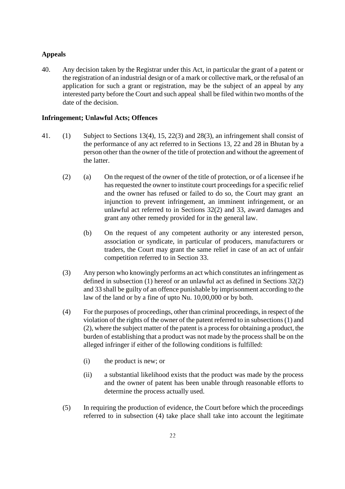#### **Appeals**

40. Any decision taken by the Registrar under this Act, in particular the grant of a patent or the registration of an industrial design or of a mark or collective mark, or the refusal of an application for such a grant or registration, may be the subject of an appeal by any interested party before the Court and such appeal shall be filed within two months of the date of the decision.

# **Infringement; Unlawful Acts; Offences**

- 41. (1) Subject to Sections 13(4), 15, 22(3) and 28(3), an infringement shall consist of the performance of any act referred to in Sections 13, 22 and 28 in Bhutan by a person other than the owner of the title of protection and without the agreement of the latter.
	- (2) (a) On the request of the owner of the title of protection, or of a licensee if he has requested the owner to institute court proceedings for a specific relief and the owner has refused or failed to do so, the Court may grant an injunction to prevent infringement, an imminent infringement, or an unlawful act referred to in Sections 32(2) and 33, award damages and grant any other remedy provided for in the general law.
		- (b) On the request of any competent authority or any interested person, association or syndicate, in particular of producers, manufacturers or traders, the Court may grant the same relief in case of an act of unfair competition referred to in Section 33.
	- (3) Any person who knowingly performs an act which constitutes an infringement as defined in subsection (1) hereof or an unlawful act as defined in Sections 32(2) and 33 shall be guilty of an offence punishable by imprisonment according to the law of the land or by a fine of upto Nu. 10,00,000 or by both.
	- (4) For the purposes of proceedings, other than criminal proceedings, in respect of the violation of the rights of the owner of the patent referred to in subsections (1) and (2), where the subject matter of the patent is a process for obtaining a product, the burden of establishing that a product was not made by the process shall be on the alleged infringer if either of the following conditions is fulfilled:
		- (i) the product is new; or
		- (ii) a substantial likelihood exists that the product was made by the process and the owner of patent has been unable through reasonable efforts to determine the process actually used.
	- (5) In requiring the production of evidence, the Court before which the proceedings referred to in subsection (4) take place shall take into account the legitimate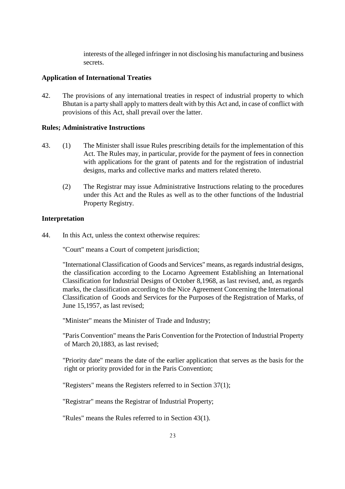interests of the alleged infringer in not disclosing his manufacturing and business secrets.

### **Application of International Treaties**

42. The provisions of any international treaties in respect of industrial property to which Bhutan is a party shall apply to matters dealt with by this Act and, in case of conflict with provisions of this Act, shall prevail over the latter.

#### **Rules; Administrative Instructions**

- 43. (1) The Minister shall issue Rules prescribing details for the implementation of this Act. The Rules may, in particular, provide for the payment of fees in connection with applications for the grant of patents and for the registration of industrial designs, marks and collective marks and matters related thereto.
	- (2) The Registrar may issue Administrative Instructions relating to the procedures under this Act and the Rules as well as to the other functions of the Industrial Property Registry.

#### **Interpretation**

44. In this Act, unless the context otherwise requires:

"Court" means a Court of competent jurisdiction;

"International Classification of Goods and Services" means, as regards industrial designs, the classification according to the Locarno Agreement Establishing an International Classification for Industrial Designs of October 8,1968, as last revised, and, as regards marks, the classification according to the Nice Agreement Concerning the International Classification of Goods and Services for the Purposes of the Registration of Marks, of June 15,1957, as last revised;

"Minister" means the Minister of Trade and Industry;

"Paris Convention" means the Paris Convention for the Protection of Industrial Property of March 20,1883, as last revised;

"Priority date" means the date of the earlier application that serves as the basis for the right or priority provided for in the Paris Convention;

"Registers" means the Registers referred to in Section 37(1);

"Registrar" means the Registrar of Industrial Property;

"Rules" means the Rules referred to in Section 43(1).